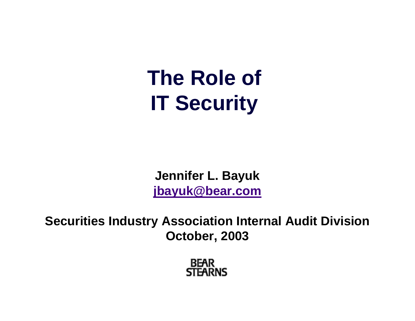### **The Role of IT Security**

**Jennifer L. Bayuk [jbayuk@bear.com](mailto:jbayuk@bear.com)**

**Securities Industry Association Internal Audit Division October, 2003**

> **BEAR STEARNS**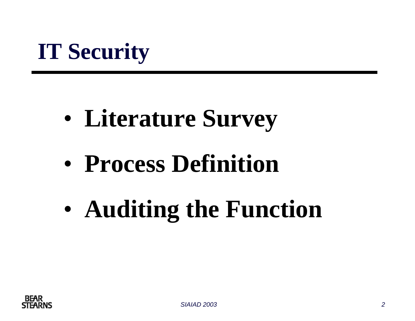### **IT Security**

- $\bullet$ **Literature Survey**
- $\bullet$ **Process Definition**
- $\bullet$ **Auditing the Function**

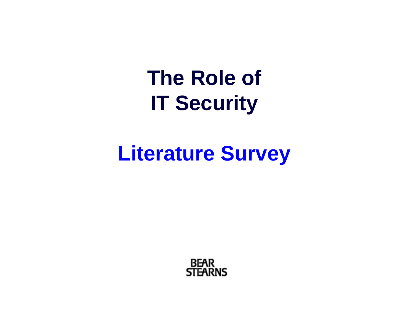**The Role of IT Security**

**Literature Survey**

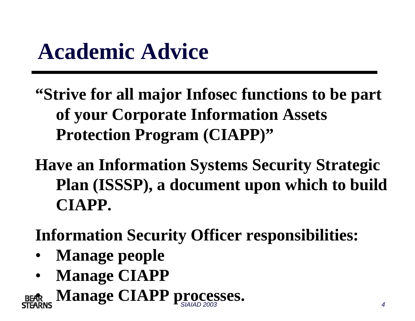### **Academic Advice**

- **"Strive for all major Infosec functions to be part of your Corporate Information Assets Protection Program (CIAPP)"**
- **Have an Information Systems Security Strategic Plan (ISSSP), a document upon which to build CIAPP.**
- **Information Security Officer responsibilities:**
- •**Manage people**
- •**Manage CIAPP**

**SIAIAD PROCESSES.**<br>**ARNS Manage CIAPP processes.** •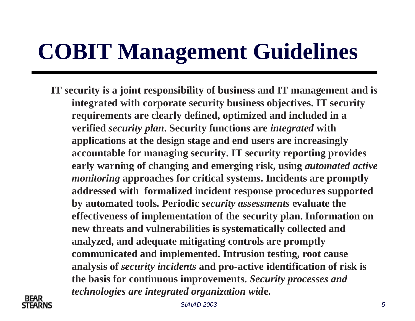### **COBIT Management Guidelines**

**IT security is a joint responsibility of business and IT management and is integrated with corporate security business objectives. IT security requirements are clearly defined, optimized and included in a verified** *security plan***. Security functions are** *integrated* **with applications at the design stage and end users are increasingly accountable for managing security. IT security reporting provides early warning of changing and emerging risk, using** *automated active monitoring* **approaches for critical systems. Incidents are promptly addressed with formalized incident response procedures supported by automated tools. Periodic** *security assessments* **evaluate the effectiveness of implementation of the security plan. Information on new threats and vulnerabilities is systematically collected and analyzed, and adequate mitigating controls are promptly communicated and implemented. Intrusion testing, root cause analysis of** *security incidents* **and pro-active identification of risk is the basis for continuous improvements.** *Security processes and technologies are integrated organization wid***e.**

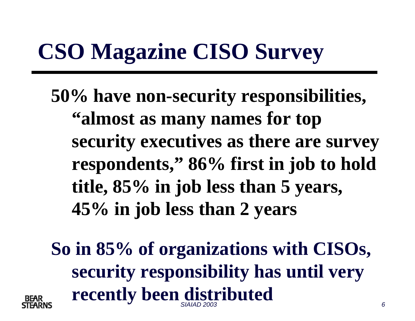## **CSO Magazine CISO Survey**

**50% have non-security responsibilities, "almost as many names for top security executives as there are survey respondents," 86% first in job to hold title, 85% in job less than 5 years, 45% in job less than 2 years**

*SIAIAD 2003 6***So in 85% of organizations with CISOs, security responsibility has until very recently been distributed**

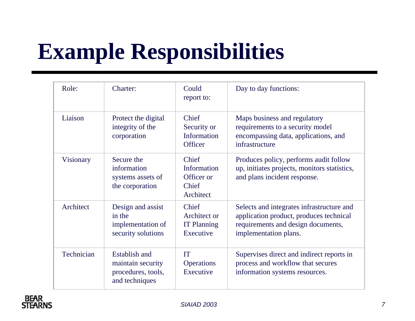## **Example Responsibilities**

| Role:      | Charter:                                                                          | Could<br>report to:                                      | Day to day functions:                                                                                                                               |
|------------|-----------------------------------------------------------------------------------|----------------------------------------------------------|-----------------------------------------------------------------------------------------------------------------------------------------------------|
| Liaison    | Protect the digital<br>integrity of the<br>corporation                            | Chief<br>Security or<br>Information<br><b>Officer</b>    | Maps business and regulatory<br>requirements to a security model<br>encompassing data, applications, and<br>infrastructure                          |
| Visionary  | Secure the<br>information<br>systems assets of<br>the corporation                 | Chief<br>Information<br>Officer or<br>Chief<br>Architect | Produces policy, performs audit follow<br>up, initiates projects, monitors statistics,<br>and plans incident response.                              |
| Architect  | Design and assist<br>in the<br>implementation of<br>security solutions            | Chief<br>Architect or<br><b>IT Planning</b><br>Executive | Selects and integrates infrastructure and<br>application product, produces technical<br>requirements and design documents,<br>implementation plans. |
| Technician | <b>Establish and</b><br>maintain security<br>procedures, tools,<br>and techniques | <b>IT</b><br><b>Operations</b><br>Executive              | Supervises direct and indirect reports in<br>process and workflow that secures<br>information systems resources.                                    |

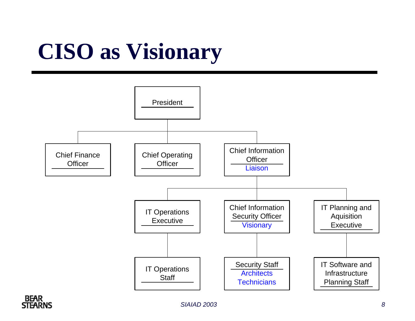## **CISO as Visionary**



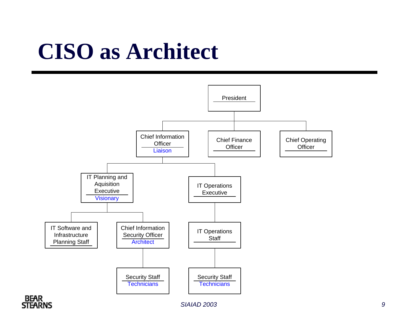### **CISO as Architect**





*SIAIAD 2003 9*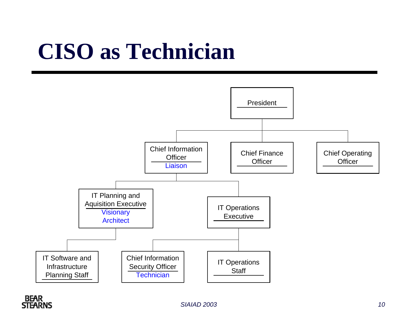### **CISO as Technician**



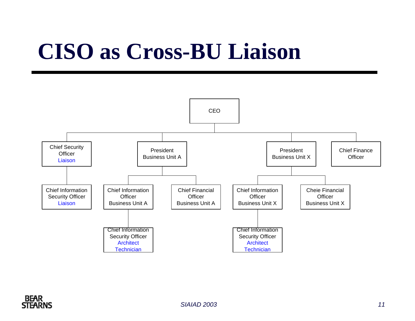### **CISO as Cross-BU Liaison**



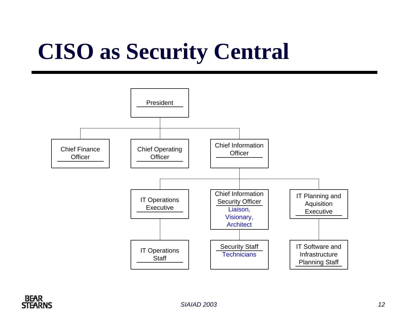## **CISO as Security Central**





*SIAIAD 2003 12*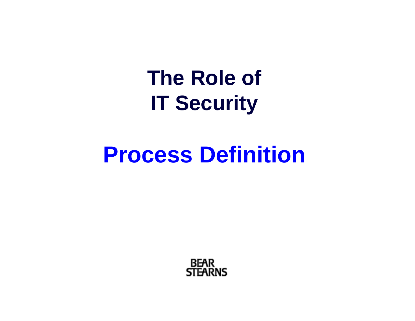**The Role of IT Security**

### **Process Definition**

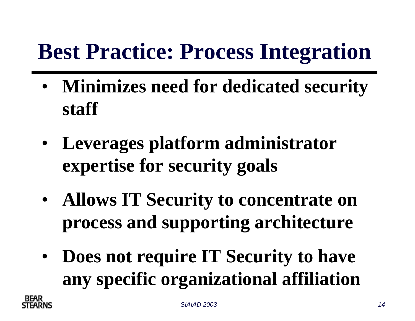### **Best Practice: Process Integration**

- • **Minimizes need for dedicated security staff**
- • **Leverages platform administrator expertise for security goals**
- • **Allows IT Security to concentrate on process and supporting architecture**
- $\bullet$  **Does not require IT Security to have any specific organizational affiliation**

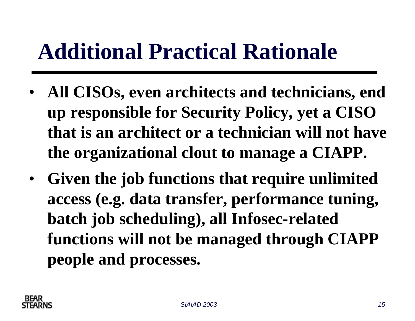### **Additional Practical Rationale**

- $\bullet$  **All CISOs, even architects and technicians, end up responsible for Security Policy, yet a CISO that is an architect or a technician will not have the organizational clout to manage a CIAPP.**
- $\bullet$  **Given the job functions that require unlimited access (e.g. data transfer, performance tuning, batch job scheduling), all Infosec-related functions will not be managed through CIAPP people and processes.**

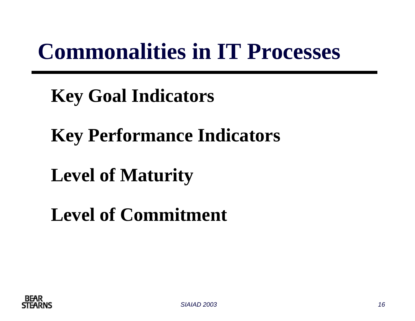### **Commonalities in IT Processes**

### **Key Goal Indicators**

### **Key Performance Indicators**

### **Level of Maturity**

### **Level of Commitment**

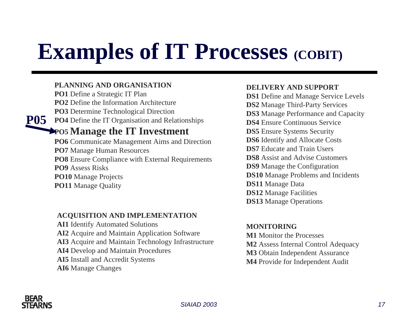### **Examples of IT Processes (COBIT)**

#### **PLANNING AND ORGANISATION**

**PO1** Define a Strategic IT Plan **PO2** Define the Information Architecture **PO3** Determine Technological Direction **PO4** Define the IT Organisation and Relationships **P05PO5 Manage the IT Investment PO6** Communicate Management Aims and Direction **PO7** Manage Human Resources **PO8** Ensure Compliance with External Requirements **PO9** Assess Risks

**PO10** Manage Projects

**PO11** Manage Quality

#### **ACQUISITION AND IMPLEMENTATION**

**AI1** Identify Automated Solutions **AI2** Acquire and Maintain Application Software **AI3** Acquire and Maintain Technology Infrastructure **AI4** Develop and Maintain Procedures **AI5** Install and Accredit Systems **AI6** Manage Changes

#### **DELIVERY AND SUPPORT**

**DS1** Define and Manage Service Levels **DS2** Manage Third-Party Services **DS3** Manage Performance and Capacity **DS4** Ensure Continuous Service **DS5** Ensure Systems Security **DS6** Identify and Allocate Costs **DS7** Educate and Train Users **DS8** Assist and Advise Customers **DS9** Manage the Configuration **DS10** Manage Problems and Incidents **DS11** Manage Data **DS12** Manage Facilities **DS13** Manage Operations

#### **MONITORING**

**M1** Monitor the Processes**M2** Assess Internal Control Adequacy **M3** Obtain Independent Assurance **M4** Provide for Independent Audit

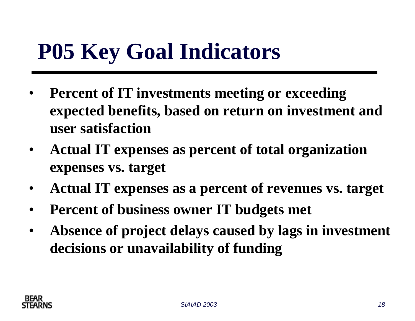### **P05 Key Goal Indicators**

- $\bullet$  **Percent of IT investments meeting or exceeding expected benefits, based on return on investment and user satisfaction**
- $\bullet$  **Actual IT expenses as percent of total organization expenses vs. target**
- $\bullet$ **Actual IT expenses as a percent of revenues vs. target**
- $\bullet$ **Percent of business owner IT budgets met**
- $\bullet$  **Absence of project delays caused by lags in investment decisions or unavailability of funding**

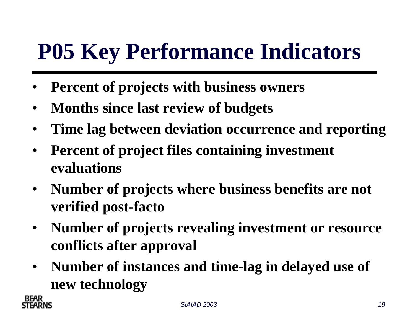### **P05 Key Performance Indicators**

- •**Percent of projects with business owners**
- •**Months since last review of budgets**
- $\bullet$ **Time lag between deviation occurrence and reporting**
- $\bullet$  **Percent of project files containing investment evaluations**
- $\bullet$  **Number of projects where business benefits are not verified post-facto**
- $\bullet$  **Number of projects revealing investment or resource conflicts after approval**
- $\bullet$  **Number of instances and time-lag in delayed use of new technology**



*SIAIAD 2003 19*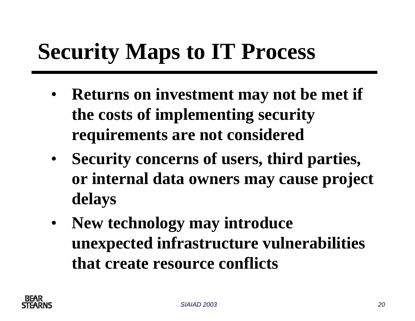### **Security Maps to IT Process**

- **Returns on investment may not be met if the costs of implementing security requirements are not considered**
- **Security concerns of users, third parties, or internal data owners may cause project delays**
- $\bullet$  **New technology may introduce unexpected infrastructure vulnerabilities that create resource conflicts**

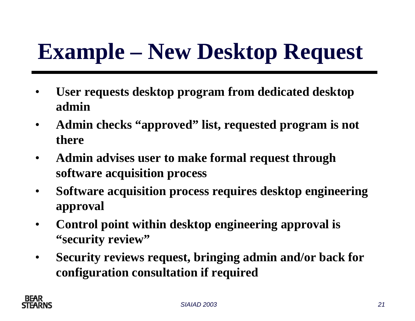## **Example – New Desktop Request**

- • **User requests desktop program from dedicated desktop admin**
- $\bullet$  **Admin checks "approved" list, requested program is not there**
- $\bullet$  **Admin advises user to make formal request through software acquisition process**
- $\bullet$  **Software acquisition process requires desktop engineering approval**
- $\bullet$  **Control point within desktop engineering approval is "security review"**
- $\bullet$  **Security reviews request, bringing admin and/or back for configuration consultation if required**

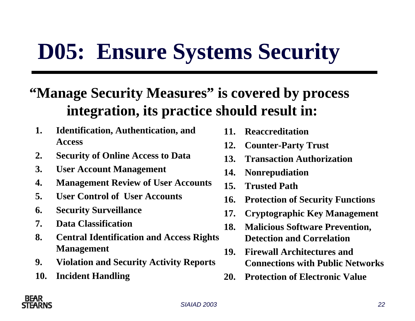### **D05: Ensure Systems Security**

### **"Manage Security Measures" is covered by process integration, its practice should result in:**

- **1. Identification, Authentication, and Access**
- **2. Security of Online Access to Data**
- **3. User Account Management**
- **4. Management Review of User Accounts**
- **5. User Control of User Accounts**
- **6. Security Surveillance**
- **7. Data Classification**
- **8. Central Identification and Access Rights Management**
- **9. Violation and Security Activity Reports**
- **10. Incident Handling**
- **11. Reaccreditation**
- **12. Counter-Party Trust**
- **13. Transaction Authorization**
- **14. Nonrepudiation**
- **15. Trusted Path**
- **16. Protection of Security Functions**
- **17. Cryptographic Key Management**
- **18. Malicious Software Prevention, Detection and Correlation**
- **19. Firewall Architectures and Connections with Public Networks**
- **20. Protection of Electronic Value**

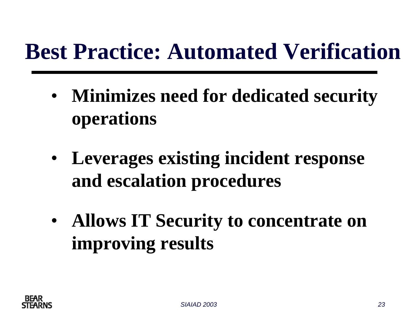### **Best Practice: Automated Verification**

- • **Minimizes need for dedicated security operations**
- • **Leverages existing incident response and escalation procedures**
- • **Allows IT Security to concentrate on improving results**

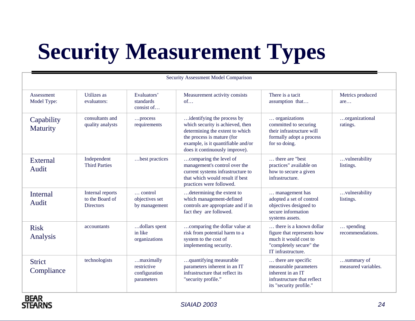# **Security Measurement Types**

| Security Assessment Model Comparison |                                                         |                                                         |                                                                                                                                                                                                         |                                                                                                                                 |                                       |
|--------------------------------------|---------------------------------------------------------|---------------------------------------------------------|---------------------------------------------------------------------------------------------------------------------------------------------------------------------------------------------------------|---------------------------------------------------------------------------------------------------------------------------------|---------------------------------------|
| Assessment<br>Model Type:            | Utilizes as<br>evaluators:                              | Evaluators'<br>standards<br>consist of                  | Measurement activity consists<br>of                                                                                                                                                                     | There is a tacit<br>assumption that                                                                                             | Metrics produced<br>are               |
| Capability<br><b>Maturity</b>        | consultants and<br>quality analysts                     | process<br>requirements                                 | identifying the process by<br>which security is achieved, then<br>determining the extent to which<br>the process is mature (for<br>example, is it quantifiable and/or<br>does it continuously improve). | organizations<br>committed to securing<br>their infrastructure will<br>formally adopt a process<br>for so doing.                | organizational<br>ratings.            |
| External<br>Audit                    | Independent<br><b>Third Parties</b>                     | best practices                                          | comparing the level of<br>management's control over the<br>current systems infrastructure to<br>that which would result if best<br>practices were followed.                                             | there are "best"<br>practices" available on<br>how to secure a given<br>infrastructure.                                         | vulnerability<br>listings.            |
| Internal<br>Audit                    | Internal reports<br>to the Board of<br><b>Directors</b> | $\ldots$ control<br>objectives set<br>by management     | determining the extent to<br>which management-defined<br>controls are appropriate and if in<br>fact they are followed.                                                                                  | management has<br>adopted a set of control<br>objectives designed to<br>secure information<br>systems assets.                   | vulnerability<br>listings.            |
| <b>Risk</b><br>Analysis              | accountants                                             | dollars spent<br>in like<br>organizations               | comparing the dollar value at<br>risk from potential harm to a<br>system to the cost of<br>implementing security.                                                                                       | there is a known dollar<br>figure that represents how<br>much it would cost to<br>"completely secure" the<br>IT infrastructure. | $\ldots$ spending<br>recommendations. |
| <b>Strict</b><br>Compliance          | technologists                                           | maximally<br>restrictive<br>configuration<br>parameters | quantifying measurable<br>parameters inherent in an IT<br>infrastructure that reflect its<br>"security profile."                                                                                        | there are specific<br>measurable parameters<br>inherent in an IT<br>infrastructure that reflect<br>its "security profile."      | summary of<br>measured variables.     |

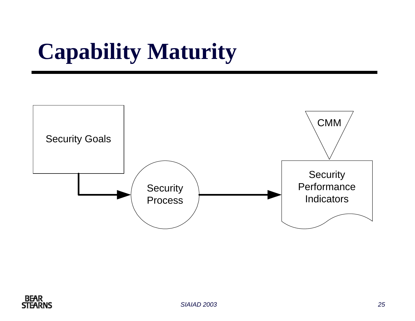### **Capability Maturity**



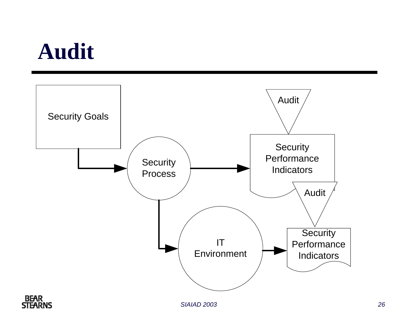### **Audit**

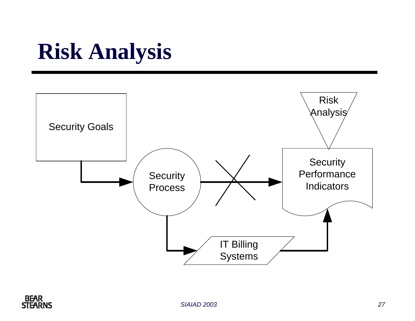### **Risk Analysis**



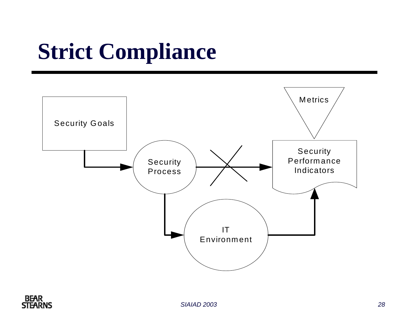## **Strict Compliance**





*SIAIAD 2003 28*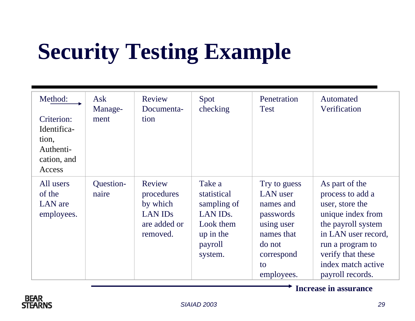## **Security Testing Example**

| Method:<br>Criterion:<br>Identifica-<br>tion,<br>Authenti-<br>cation, and<br>Access | Ask<br>Manage-<br>ment | Review<br>Documenta-<br>tion                                                   | Spot<br>checking                                                                                              | Penetration<br><b>Test</b>                                                                                                 | Automated<br>Verification                                                                                                                                                                                  |
|-------------------------------------------------------------------------------------|------------------------|--------------------------------------------------------------------------------|---------------------------------------------------------------------------------------------------------------|----------------------------------------------------------------------------------------------------------------------------|------------------------------------------------------------------------------------------------------------------------------------------------------------------------------------------------------------|
| All users<br>of the<br>LAN are<br>employees.                                        | Question-<br>naire     | Review<br>procedures<br>by which<br><b>LAN IDS</b><br>are added or<br>removed. | Take a<br>statistical<br>sampling of<br>LAN ID <sub>s</sub> .<br>Look them<br>up in the<br>payroll<br>system. | Try to guess<br>LAN user<br>names and<br>passwords<br>using user<br>names that<br>do not<br>correspond<br>to<br>employees. | As part of the<br>process to add a<br>user, store the<br>unique index from<br>the payroll system<br>in LAN user record,<br>run a program to<br>verify that these<br>index match active<br>payroll records. |

**Increase in assurance**

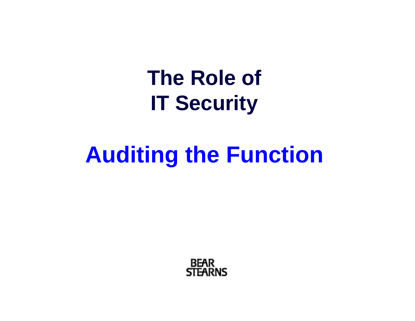**The Role of IT Security**

### **Auditing the Function**

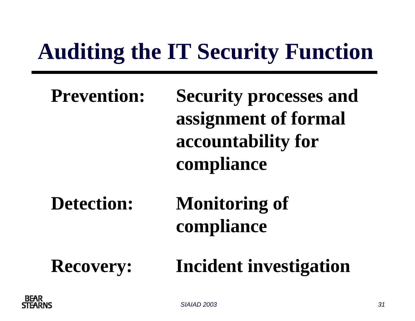## **Auditing the IT Security Function**

| <b>Prevention:</b> | <b>Security processes and</b><br>assignment of formal<br>accountability for<br>compliance |
|--------------------|-------------------------------------------------------------------------------------------|
| <b>Detection:</b>  | <b>Monitoring of</b><br>compliance                                                        |
| <b>Recovery:</b>   | <b>Incident investigation</b>                                                             |



*SIAIAD 2003 31*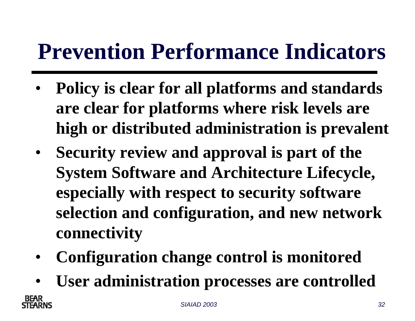### **Prevention Performance Indicators**

- • **Policy is clear for all platforms and standards are clear for platforms where risk levels are high or distributed administration is prevalent**
- **Security review and approval is part of the System Software and Architecture Lifecycle, especially with respect to security software selection and configuration, and new network connectivity**
- •**Configuration change control is monitored**
- •**User administration processes are controlled**

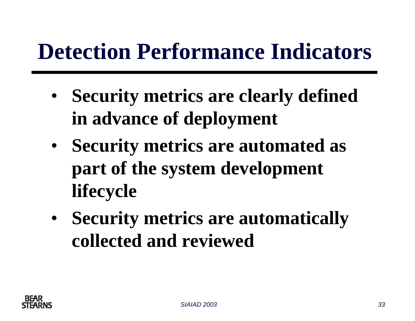### **Detection Performance Indicators**

- • **Security metrics are clearly defined in advance of deployment**
- • **Security metrics are automated as part of the system development lifecycle**
- • **Security metrics are automatically collected and reviewed**

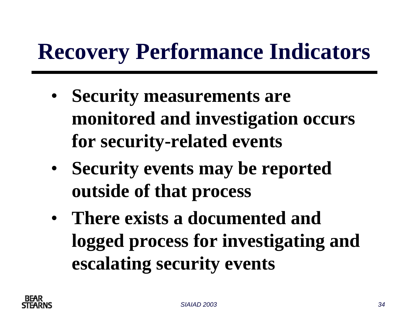### **Recovery Performance Indicators**

- • **Security measurements are monitored and investigation occurs for security-related events**
- • **Security events may be reported outside of that process**
- **There exists a documented and logged process for investigating and escalating security events**